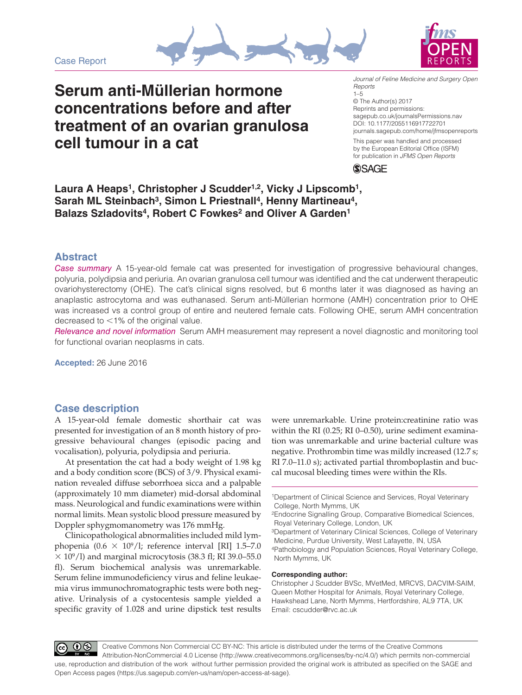Case Report





# **Serum anti-Müllerian hormone concentrations before and after treatment of an ovarian granulosa cell tumour in a cat**

DOI: 10.1177/2055116917722701 *Journal of Feline Medicine and Surgery Open Reports* 1–5 © The Author(s) 2017 Reprints and permissions: [sagepub.co.uk/journalsPermissions.nav](https://uk.sagepub.com/en-gb/journals-permissions)

[journals.sagepub.com/home/jfmsopenreports](https://journals.sagepub.com/home/jfmsopenreports
)

This paper was handled and processed by the European Editorial Office (ISFM) for publication in *JFMS Open Reports*



Laura A Heaps<sup>1</sup>, Christopher J Scudder<sup>1,2</sup>, Vicky J Lipscomb<sup>1</sup>, Sarah ML Steinbach<sup>3</sup>, Simon L Priestnall<sup>4</sup>, Henny Martineau<sup>4</sup>, Balazs Szladovits<sup>4</sup>, Robert C Fowkes<sup>2</sup> and Oliver A Garden<sup>1</sup>

# **Abstract**

*Case summary* A 15-year-old female cat was presented for investigation of progressive behavioural changes, polyuria, polydipsia and periuria. An ovarian granulosa cell tumour was identified and the cat underwent therapeutic ovariohysterectomy (OHE). The cat's clinical signs resolved, but 6 months later it was diagnosed as having an anaplastic astrocytoma and was euthanased. Serum anti-Müllerian hormone (AMH) concentration prior to OHE was increased vs a control group of entire and neutered female cats. Following OHE, serum AMH concentration decreased to <1% of the original value.

*Relevance and novel information* Serum AMH measurement may represent a novel diagnostic and monitoring tool for functional ovarian neoplasms in cats.

**Accepted:** 26 June 2016

## **Case description**

A 15-year-old female domestic shorthair cat was presented for investigation of an 8 month history of progressive behavioural changes (episodic pacing and vocalisation), polyuria, polydipsia and periuria.

At presentation the cat had a body weight of 1.98 kg and a body condition score (BCS) of 3/9. Physical examination revealed diffuse seborrhoea sicca and a palpable (approximately 10 mm diameter) mid-dorsal abdominal mass. Neurological and fundic examinations were within normal limits. Mean systolic blood pressure measured by Doppler sphygmomanometry was 176 mmHg.

Clinicopathological abnormalities included mild lymphopenia (0.6  $\times$  10<sup>9</sup>/l; reference interval [RI] 1.5–7.0  $\times$  10<sup>9</sup>/l) and marginal microcytosis (38.3 fl; RI 39.0–55.0 fl). Serum biochemical analysis was unremarkable. Serum feline immunodeficiency virus and feline leukaemia virus immunochromatographic tests were both negative. Urinalysis of a cystocentesis sample yielded a specific gravity of 1.028 and urine dipstick test results

were unremarkable. Urine protein:creatinine ratio was within the RI (0.25; RI 0–0.50), urine sediment examination was unremarkable and urine bacterial culture was negative. Prothrombin time was mildly increased (12.7 s; RI 7.0–11.0 s); activated partial thromboplastin and buccal mucosal bleeding times were within the RIs.

#### **Corresponding author:**

Christopher J Scudder BVSc, MVetMed, MRCVS, DACVIM-SAIM, Queen Mother Hospital for Animals, Royal Veterinary College, Hawkshead Lane, North Mymms, Hertfordshire, AL9 7TA, UK Email: cscudder@rvc.ac.uk

 $|00\rangle$ Creative Commons Non Commercial CC BY-NC: This article is distributed under the terms of the Creative Commons Attribution-NonCommercial 4.0 License (http://www.creativecommons.org/licenses/by-nc/4.0/) which permits non-commercial use, reproduction and distribution of the work without further permission provided the original work is attributed as specified on the SAGE and Open Access pages (https://us.sagepub.com/en-us/nam/open-access-at-sage).

<sup>1</sup>Department of Clinical Science and Services, Royal Veterinary College, North Mymms, UK

<sup>2</sup>Endocrine Signalling Group, Comparative Biomedical Sciences, Royal Veterinary College, London, UK

<sup>3</sup>Department of Veterinary Clinical Sciences, College of Veterinary Medicine, Purdue University, West Lafayette, IN, USA

<sup>4</sup>Pathobiology and Population Sciences, Royal Veterinary College, North Mymms, UK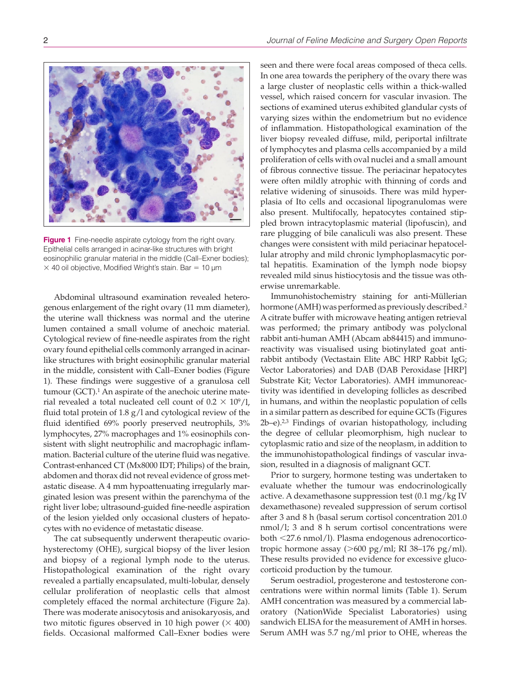**Figure 1** Fine-needle aspirate cytology from the right ovary. Epithelial cells arranged in acinar-like structures with bright eosinophilic granular material in the middle (Call–Exner bodies);  $\times$  40 oil objective, Modified Wright's stain. Bar = 10  $\mu$ m

Abdominal ultrasound examination revealed heterogenous enlargement of the right ovary (11 mm diameter), the uterine wall thickness was normal and the uterine lumen contained a small volume of anechoic material. Cytological review of fine-needle aspirates from the right ovary found epithelial cells commonly arranged in acinarlike structures with bright eosinophilic granular material in the middle, consistent with Call–Exner bodies (Figure 1). These findings were suggestive of a granulosa cell tumour  $(GCT)$ .<sup>1</sup> An aspirate of the anechoic uterine material revealed a total nucleated cell count of  $0.2 \times 10^9 / l$ , fluid total protein of 1.8 g/l and cytological review of the fluid identified 69% poorly preserved neutrophils, 3% lymphocytes, 27% macrophages and 1% eosinophils consistent with slight neutrophilic and macrophagic inflammation. Bacterial culture of the uterine fluid was negative. Contrast-enhanced CT (Mx8000 IDT; Philips) of the brain, abdomen and thorax did not reveal evidence of gross metastatic disease. A 4 mm hypoattenuating irregularly marginated lesion was present within the parenchyma of the right liver lobe; ultrasound-guided fine-needle aspiration of the lesion yielded only occasional clusters of hepatocytes with no evidence of metastatic disease.

The cat subsequently underwent therapeutic ovariohysterectomy (OHE), surgical biopsy of the liver lesion and biopsy of a regional lymph node to the uterus. Histopathological examination of the right ovary revealed a partially encapsulated, multi-lobular, densely cellular proliferation of neoplastic cells that almost completely effaced the normal architecture (Figure 2a). There was moderate anisocytosis and anisokaryosis, and two mitotic figures observed in 10 high power  $(\times 400)$ fields. Occasional malformed Call–Exner bodies were

seen and there were focal areas composed of theca cells. In one area towards the periphery of the ovary there was a large cluster of neoplastic cells within a thick-walled vessel, which raised concern for vascular invasion. The sections of examined uterus exhibited glandular cysts of varying sizes within the endometrium but no evidence of inflammation. Histopathological examination of the liver biopsy revealed diffuse, mild, periportal infiltrate of lymphocytes and plasma cells accompanied by a mild proliferation of cells with oval nuclei and a small amount of fibrous connective tissue. The periacinar hepatocytes were often mildly atrophic with thinning of cords and relative widening of sinusoids. There was mild hyperplasia of Ito cells and occasional lipogranulomas were also present. Multifocally, hepatocytes contained stippled brown intracytoplasmic material (lipofuscin), and rare plugging of bile canaliculi was also present. These changes were consistent with mild periacinar hepatocellular atrophy and mild chronic lymphoplasmacytic portal hepatitis. Examination of the lymph node biopsy revealed mild sinus histiocytosis and the tissue was otherwise unremarkable.

Immunohistochemistry staining for anti-Müllerian hormone (AMH) was performed as previously described.2 A citrate buffer with microwave heating antigen retrieval was performed; the primary antibody was polyclonal rabbit anti-human AMH (Abcam ab84415) and immunoreactivity was visualised using biotinylated goat antirabbit antibody (Vectastain Elite ABC HRP Rabbit IgG; Vector Laboratories) and DAB (DAB Peroxidase [HRP] Substrate Kit; Vector Laboratories). AMH immunoreactivity was identified in developing follicles as described in humans, and within the neoplastic population of cells in a similar pattern as described for equine GCTs (Figures 2b–e).2,3 Findings of ovarian histopathology, including the degree of cellular pleomorphism, high nuclear to cytoplasmic ratio and size of the neoplasm, in addition to the immunohistopathological findings of vascular invasion, resulted in a diagnosis of malignant GCT.

Prior to surgery, hormone testing was undertaken to evaluate whether the tumour was endocrinologically active. A dexamethasone suppression test (0.1 mg/kg IV dexamethasone) revealed suppression of serum cortisol after 3 and 8 h (basal serum cortisol concentration 201.0 nmol/l; 3 and 8 h serum cortisol concentrations were both <27.6 nmol/l). Plasma endogenous adrenocorticotropic hormone assay  $(>600 \text{ pg/ml})$ ; RI 38-176 pg/ml). These results provided no evidence for excessive glucocorticoid production by the tumour.

Serum oestradiol, progesterone and testosterone concentrations were within normal limits (Table 1). Serum AMH concentration was measured by a commercial laboratory (NationWide Specialist Laboratories) using sandwich ELISA for the measurement of AMH in horses. Serum AMH was 5.7 ng/ml prior to OHE, whereas the



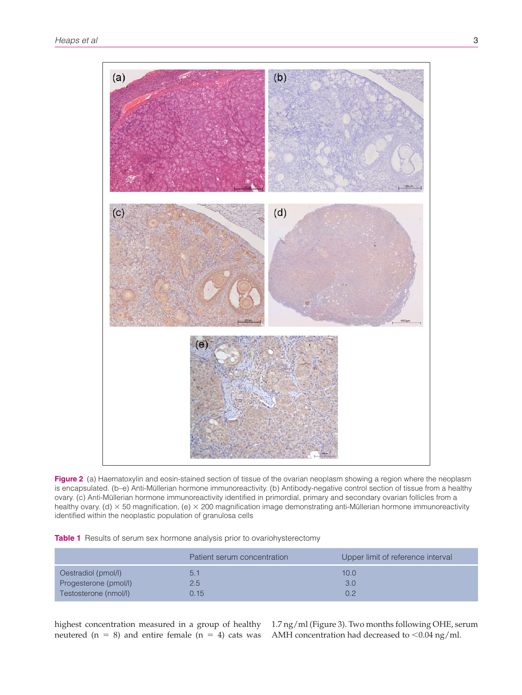

**Figure 2** (a) Haematoxylin and eosin-stained section of tissue of the ovarian neoplasm showing a region where the neoplasm is encapsulated. (b–e) Anti-Müllerian hormone immunoreactivity. (b) Antibody-negative control section of tissue from a healthy ovary. (c) Anti-Müllerian hormone immunoreactivity identified in primordial, primary and secondary ovarian follicles from a healthy ovary. (d)  $\times$  50 magnification, (e)  $\times$  200 magnification image demonstrating anti-Müllerian hormone immunoreactivity identified within the neoplastic population of granulosa cells

|  |  |  |  | Table 1 Results of serum sex hormone analysis prior to ovariohysterectomy |  |
|--|--|--|--|---------------------------------------------------------------------------|--|
|--|--|--|--|---------------------------------------------------------------------------|--|

|                                              | Patient serum concentration | Upper limit of reference interval |
|----------------------------------------------|-----------------------------|-----------------------------------|
| Oestradiol (pmol/l)<br>Progesterone (pmol/l) | 5.1<br>2.5                  | 10.0<br>3.0                       |
| Testosterone (nmol/l)                        | 0.15                        | 0.2                               |

neutered ( $n = 8$ ) and entire female ( $n = 4$ ) cats was

highest concentration measured in a group of healthy 1.7 ng/ml (Figure 3). Two months following OHE, serum AMH concentration had decreased to  $<$  0.04 ng/ml.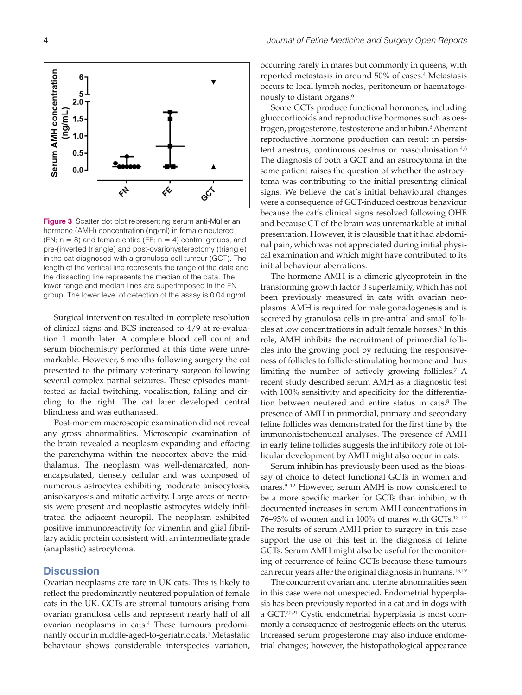

**Figure 3** Scatter dot plot representing serum anti-Müllerian hormone (AMH) concentration (ng/ml) in female neutered (FN;  $n = 8$ ) and female entire (FE;  $n = 4$ ) control groups, and pre-(inverted triangle) and post-ovariohysterectomy (triangle) in the cat diagnosed with a granulosa cell tumour (GCT). The length of the vertical line represents the range of the data and the dissecting line represents the median of the data. The lower range and median lines are superimposed in the FN group. The lower level of detection of the assay is 0.04 ng/ml

Surgical intervention resulted in complete resolution of clinical signs and BCS increased to 4/9 at re-evaluation 1 month later. A complete blood cell count and serum biochemistry performed at this time were unremarkable. However, 6 months following surgery the cat presented to the primary veterinary surgeon following several complex partial seizures. These episodes manifested as facial twitching, vocalisation, falling and circling to the right. The cat later developed central blindness and was euthanased.

Post-mortem macroscopic examination did not reveal any gross abnormalities. Microscopic examination of the brain revealed a neoplasm expanding and effacing the parenchyma within the neocortex above the midthalamus. The neoplasm was well-demarcated, nonencapsulated, densely cellular and was composed of numerous astrocytes exhibiting moderate anisocytosis, anisokaryosis and mitotic activity. Large areas of necrosis were present and neoplastic astrocytes widely infiltrated the adjacent neuropil. The neoplasm exhibited positive immunoreactivity for vimentin and glial fibrillary acidic protein consistent with an intermediate grade (anaplastic) astrocytoma.

### **Discussion**

Ovarian neoplasms are rare in UK cats. This is likely to reflect the predominantly neutered population of female cats in the UK. GCTs are stromal tumours arising from ovarian granulosa cells and represent nearly half of all ovarian neoplasms in cats.4 These tumours predominantly occur in middle-aged-to-geriatric cats.<sup>5</sup> Metastatic behaviour shows considerable interspecies variation, occurring rarely in mares but commonly in queens, with reported metastasis in around 50% of cases.<sup>4</sup> Metastasis occurs to local lymph nodes, peritoneum or haematogenously to distant organs.6

Some GCTs produce functional hormones, including glucocorticoids and reproductive hormones such as oestrogen, progesterone, testosterone and inhibin.<sup>6</sup> Aberrant reproductive hormone production can result in persistent anestrus, continuous oestrus or masculinisation.<sup>4,6</sup> The diagnosis of both a GCT and an astrocytoma in the same patient raises the question of whether the astrocytoma was contributing to the initial presenting clinical signs. We believe the cat's initial behavioural changes were a consequence of GCT-induced oestrous behaviour because the cat's clinical signs resolved following OHE and because CT of the brain was unremarkable at initial presentation. However, it is plausible that it had abdominal pain, which was not appreciated during initial physical examination and which might have contributed to its initial behaviour aberrations.

The hormone AMH is a dimeric glycoprotein in the transforming growth factor β superfamily, which has not been previously measured in cats with ovarian neoplasms. AMH is required for male gonadogenesis and is secreted by granulosa cells in pre-antral and small follicles at low concentrations in adult female horses.3 In this role, AMH inhibits the recruitment of primordial follicles into the growing pool by reducing the responsiveness of follicles to follicle-stimulating hormone and thus limiting the number of actively growing follicles.7 A recent study described serum AMH as a diagnostic test with 100% sensitivity and specificity for the differentiation between neutered and entire status in cats.<sup>8</sup> The presence of AMH in primordial, primary and secondary feline follicles was demonstrated for the first time by the immunohistochemical analyses. The presence of AMH in early feline follicles suggests the inhibitory role of follicular development by AMH might also occur in cats.

Serum inhibin has previously been used as the bioassay of choice to detect functional GCTs in women and mares.9–12 However, serum AMH is now considered to be a more specific marker for GCTs than inhibin, with documented increases in serum AMH concentrations in 76–93% of women and in 100% of mares with GCTs.13–17 The results of serum AMH prior to surgery in this case support the use of this test in the diagnosis of feline GCTs. Serum AMH might also be useful for the monitoring of recurrence of feline GCTs because these tumours can recur years after the original diagnosis in humans.18,19

The concurrent ovarian and uterine abnormalities seen in this case were not unexpected. Endometrial hyperplasia has been previously reported in a cat and in dogs with a GCT.20,21 Cystic endometrial hyperplasia is most commonly a consequence of oestrogenic effects on the uterus. Increased serum progesterone may also induce endometrial changes; however, the histopathological appearance